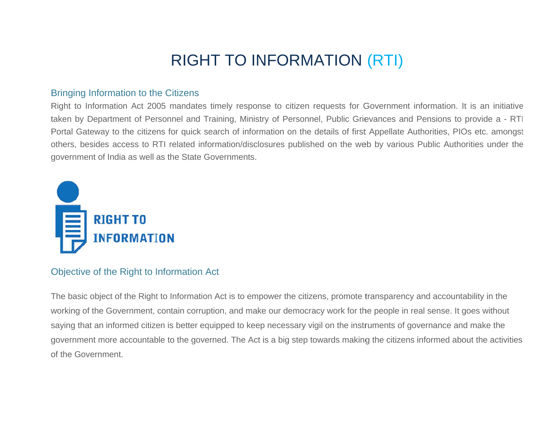# **RIGHT TO INFORMATION (RTI)**

#### **Bringing Information to the Citizens**

Right to Information Act 2005 mandates timely response to citizen requests for Government information. It is an initiative taken by Department of Personnel and Training, Ministry of Personnel, Public Grievances and Pensions to provide a - RTI Portal Gateway to the citizens for quick search of information on the details of first Appellate Authorities, PIOs etc. amongst others, besides access to RTI related information/disclosures published on the web by various Public Authorities under the government of India as well as the State Governments.



#### Objective of the Right to Information Act

The basic object of the Right to Information Act is to empower the citizens, promote transparency and accountability in the working of the Government, contain corruption, and make our democracy work for the people in real sense. It goes without saying that an informed citizen is better equipped to keep necessary vigil on the instruments of governance and make the government more accountable to the governed. The Act is a big step towards making the citizens informed about the activities of the Government.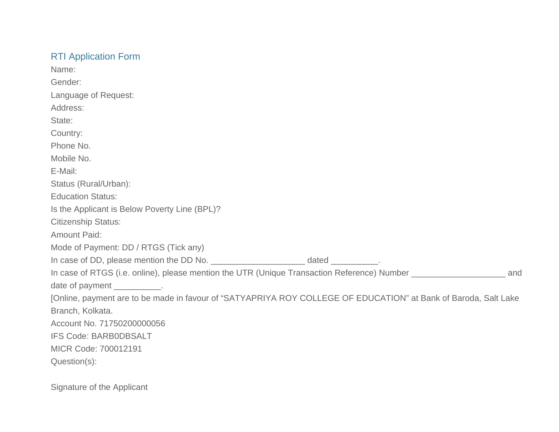## RTI Application Form

| Name:                                                                                                                 |
|-----------------------------------------------------------------------------------------------------------------------|
| Gender:                                                                                                               |
| Language of Request:                                                                                                  |
| Address:                                                                                                              |
| State:                                                                                                                |
| Country:                                                                                                              |
| Phone No.                                                                                                             |
| Mobile No.                                                                                                            |
| E-Mail:                                                                                                               |
| Status (Rural/Urban):                                                                                                 |
| <b>Education Status:</b>                                                                                              |
| Is the Applicant is Below Poverty Line (BPL)?                                                                         |
| <b>Citizenship Status:</b>                                                                                            |
| <b>Amount Paid:</b>                                                                                                   |
| Mode of Payment: DD / RTGS (Tick any)                                                                                 |
|                                                                                                                       |
| In case of RTGS (i.e. online), please mention the UTR (Unique Transaction Reference) Number __________________<br>and |
| date of payment ___________.                                                                                          |
| [Online, payment are to be made in favour of "SATYAPRIYA ROY COLLEGE OF EDUCATION" at Bank of Baroda, Salt Lake       |
| Branch, Kolkata.                                                                                                      |
| Account No. 71750200000056                                                                                            |
| <b>IFS Code: BARB0DBSALT</b>                                                                                          |
| MICR Code: 700012191                                                                                                  |
| Question(s):                                                                                                          |
| Signature of the Applicant                                                                                            |
|                                                                                                                       |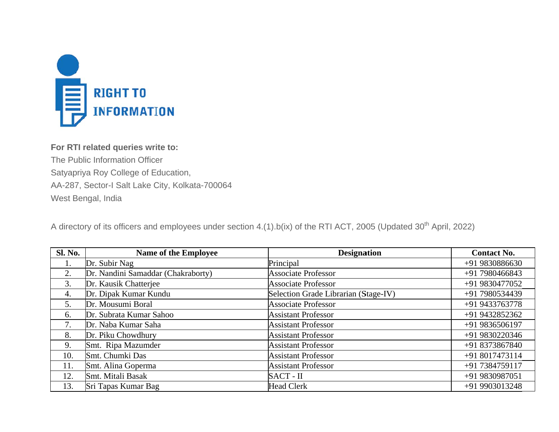

## For RTI related queries write to: The Public Information Officer Satyapriya Roy College of Education, AA-287, Sector-I Salt Lake City, Kolkata-700064 West Bengal, India

A directory of its officers and employees under section 4.(1).b(ix) of the RTI ACT, 2005 (Updated 30<sup>th</sup> April, 2022)

| <b>Sl. No.</b> | <b>Name of the Employee</b>        | <b>Designation</b>                   | <b>Contact No.</b> |
|----------------|------------------------------------|--------------------------------------|--------------------|
| 1.             | Dr. Subir Nag                      | Principal                            | +91 9830886630     |
| 2.             | Dr. Nandini Samaddar (Chakraborty) | <b>Associate Professor</b>           | +91 7980466843     |
| 3.             | Dr. Kausik Chatterjee              | <b>Associate Professor</b>           | +91 9830477052     |
| 4.             | Dr. Dipak Kumar Kundu              | Selection Grade Librarian (Stage-IV) | +91 7980534439     |
| 5.             | Dr. Mousumi Boral                  | <b>Associate Professor</b>           | +91 9433763778     |
| 6.             | Dr. Subrata Kumar Sahoo            | <b>Assistant Professor</b>           | +91 9432852362     |
| 7.             | Dr. Naba Kumar Saha                | <b>Assistant Professor</b>           | +91 9836506197     |
| 8.             | Dr. Piku Chowdhury                 | <b>Assistant Professor</b>           | +91 9830220346     |
| 9.             | Smt. Ripa Mazumder                 | <b>Assistant Professor</b>           | +91 8373867840     |
| 10.            | Smt. Chumki Das                    | <b>Assistant Professor</b>           | +91 8017473114     |
| 11.            | Smt. Alina Goperma                 | <b>Assistant Professor</b>           | +91 7384759117     |
| 12.            | Smt. Mitali Basak                  | SACT - II                            | +91 9830987051     |
| 13.            | Sri Tapas Kumar Bag                | <b>Head Clerk</b>                    | +91 9903013248     |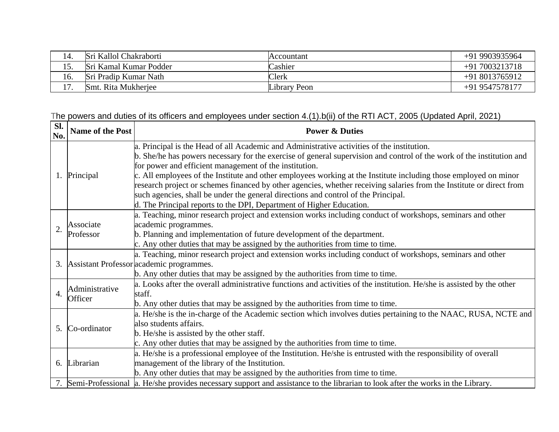| 14. | Sri Kallol Chakraborti | Accountant   | +91 9903935964  |
|-----|------------------------|--------------|-----------------|
| 15. | Sri Kamal Kumar Podder | Cashier      | $+917003213718$ |
| 16. | Sri Pradip Kumar Nath  | Clerk        | $+918013765912$ |
| 17. | Smt. Rita Mukherjee    | Library Peon | +91 9547578177  |

### The powers and duties of its officers and employees under section 4.(1).b(ii) of the RTI ACT, 2005 (Updated April, 2021)

|                     |                                   | a. Principal is the Head of all Academic and Administrative activities of the institution.                                                                                                                                                                                                                                                                                                                                                                                                                                                                                                |  |
|---------------------|-----------------------------------|-------------------------------------------------------------------------------------------------------------------------------------------------------------------------------------------------------------------------------------------------------------------------------------------------------------------------------------------------------------------------------------------------------------------------------------------------------------------------------------------------------------------------------------------------------------------------------------------|--|
| No.<br>1. Principal |                                   | b. She/he has powers necessary for the exercise of general supervision and control of the work of the institution and<br>for power and efficient management of the institution.<br>c. All employees of the Institute and other employees working at the Institute including those employed on minor<br>research project or schemes financed by other agencies, whether receiving salaries from the Institute or direct from<br>such agencies, shall be under the general directions and control of the Principal.<br>d. The Principal reports to the DPI, Department of Higher Education. |  |
| $\overline{2}$      | Associate<br>Professor            | a. Teaching, minor research project and extension works including conduct of workshops, seminars and other<br>academic programmes.<br>b. Planning and implementation of future development of the department.<br>c. Any other duties that may be assigned by the authorities from time to time.                                                                                                                                                                                                                                                                                           |  |
|                     |                                   | a. Teaching, minor research project and extension works including conduct of workshops, seminars and other<br>3. Assistant Professor academic programmes.<br>b. Any other duties that may be assigned by the authorities from time to time.                                                                                                                                                                                                                                                                                                                                               |  |
| $\overline{4}$ .    | Administrative<br>Officer         | a. Looks after the overall administrative functions and activities of the institution. He/she is assisted by the other<br>staff.<br>b. Any other duties that may be assigned by the authorities from time to time.                                                                                                                                                                                                                                                                                                                                                                        |  |
| 5.                  | Co-ordinator                      | a. He/she is the in-charge of the Academic section which involves duties pertaining to the NAAC, RUSA, NCTE and<br>also students affairs.<br>b. He/she is assisted by the other staff.<br>c. Any other duties that may be assigned by the authorities from time to time.                                                                                                                                                                                                                                                                                                                  |  |
| 6.                  | Librarian<br>7. Semi-Professional | a. He/she is a professional employee of the Institution. He/she is entrusted with the responsibility of overall<br>management of the library of the Institution.<br>b. Any other duties that may be assigned by the authorities from time to time.<br>a. He/she provides necessary support and assistance to the librarian to look after the works in the Library.                                                                                                                                                                                                                        |  |